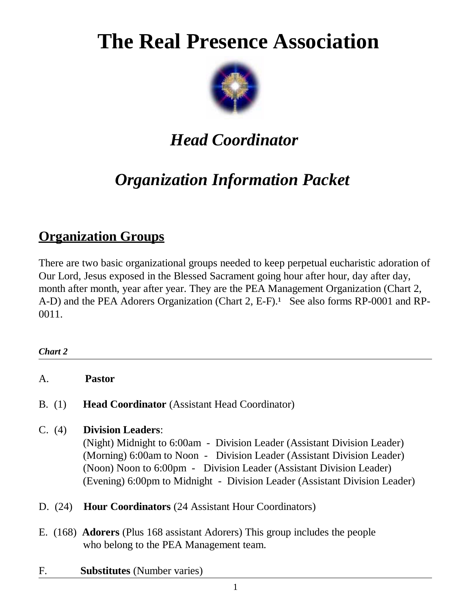# **The Real Presence Association**



## *Head Coordinator*

## *Organization Information Packet*

## **Organization Groups**

There are two basic organizational groups needed to keep perpetual eucharistic adoration of Our Lord, Jesus exposed in the Blessed Sacrament going hour after hour, day after day, month after month, year after year. They are the PEA Management Organization (Chart 2, A-D) and the PEA Adorers Organization (Chart 2, E-F).<sup>1</sup> See also forms RP-0001 and RP-0011.

| <b>Chart 2</b> |                                                                                                                                                                                                                                                                                                                                     |
|----------------|-------------------------------------------------------------------------------------------------------------------------------------------------------------------------------------------------------------------------------------------------------------------------------------------------------------------------------------|
| A.             | <b>Pastor</b>                                                                                                                                                                                                                                                                                                                       |
| B. (1)         | <b>Head Coordinator</b> (Assistant Head Coordinator)                                                                                                                                                                                                                                                                                |
| C. (4)         | <b>Division Leaders:</b><br>(Night) Midnight to 6:00am - Division Leader (Assistant Division Leader)<br>(Morning) 6:00am to Noon - Division Leader (Assistant Division Leader)<br>(Noon) Noon to 6:00pm - Division Leader (Assistant Division Leader)<br>(Evening) 6:00pm to Midnight - Division Leader (Assistant Division Leader) |
| D. $(24)$      | <b>Hour Coordinators</b> (24 Assistant Hour Coordinators)                                                                                                                                                                                                                                                                           |
|                | E. (168) <b>Adorers</b> (Plus 168 assistant Adorers) This group includes the people<br>who belong to the PEA Management team.                                                                                                                                                                                                       |
| F.             | <b>Substitutes</b> (Number varies)                                                                                                                                                                                                                                                                                                  |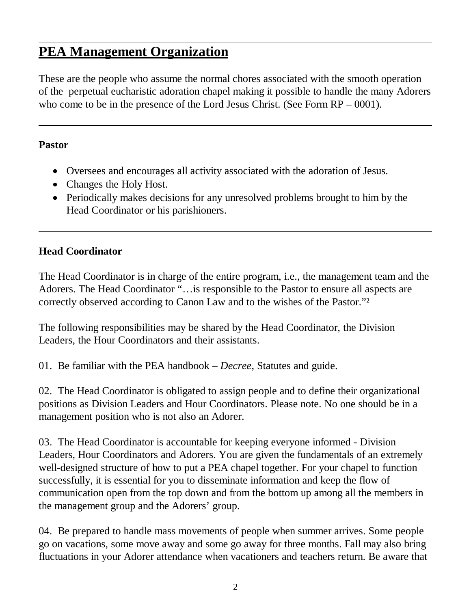## **PEA Management Organization**

These are the people who assume the normal chores associated with the smooth operation of the perpetual eucharistic adoration chapel making it possible to handle the many Adorers who come to be in the presence of the Lord Jesus Christ. (See Form RP – 0001).

#### **Pastor**

- Oversees and encourages all activity associated with the adoration of Jesus.
- Changes the Holy Host.
- Periodically makes decisions for any unresolved problems brought to him by the Head Coordinator or his parishioners.

#### **Head Coordinator**

The Head Coordinator is in charge of the entire program, i.e., the management team and the Adorers. The Head Coordinator "…is responsible to the Pastor to ensure all aspects are correctly observed according to Canon Law and to the wishes of the Pastor."²

The following responsibilities may be shared by the Head Coordinator, the Division Leaders, the Hour Coordinators and their assistants.

01. Be familiar with the PEA handbook – *Decree*, Statutes and guide.

02. The Head Coordinator is obligated to assign people and to define their organizational positions as Division Leaders and Hour Coordinators. Please note. No one should be in a management position who is not also an Adorer.

03. The Head Coordinator is accountable for keeping everyone informed - Division Leaders, Hour Coordinators and Adorers. You are given the fundamentals of an extremely well-designed structure of how to put a PEA chapel together. For your chapel to function successfully, it is essential for you to disseminate information and keep the flow of communication open from the top down and from the bottom up among all the members in the management group and the Adorers' group.

04. Be prepared to handle mass movements of people when summer arrives. Some people go on vacations, some move away and some go away for three months. Fall may also bring fluctuations in your Adorer attendance when vacationers and teachers return. Be aware that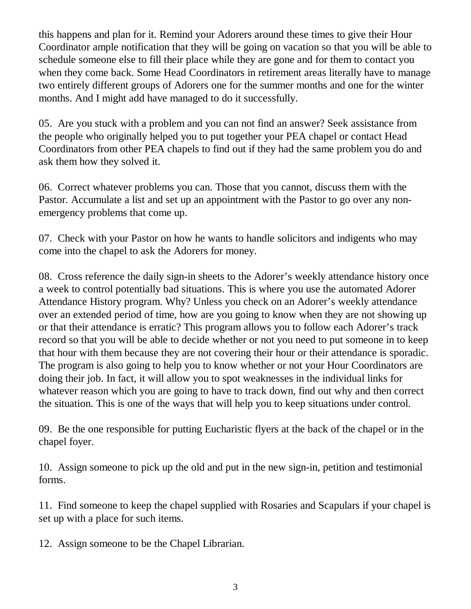this happens and plan for it. Remind your Adorers around these times to give their Hour Coordinator ample notification that they will be going on vacation so that you will be able to schedule someone else to fill their place while they are gone and for them to contact you when they come back. Some Head Coordinators in retirement areas literally have to manage two entirely different groups of Adorers one for the summer months and one for the winter months. And I might add have managed to do it successfully.

05. Are you stuck with a problem and you can not find an answer? Seek assistance from the people who originally helped you to put together your PEA chapel or contact Head Coordinators from other PEA chapels to find out if they had the same problem you do and ask them how they solved it.

06. Correct whatever problems you can. Those that you cannot, discuss them with the Pastor. Accumulate a list and set up an appointment with the Pastor to go over any nonemergency problems that come up.

07. Check with your Pastor on how he wants to handle solicitors and indigents who may come into the chapel to ask the Adorers for money.

08. Cross reference the daily sign-in sheets to the Adorer's weekly attendance history once a week to control potentially bad situations. This is where you use the automated Adorer Attendance History program. Why? Unless you check on an Adorer's weekly attendance over an extended period of time, how are you going to know when they are not showing up or that their attendance is erratic? This program allows you to follow each Adorer's track record so that you will be able to decide whether or not you need to put someone in to keep that hour with them because they are not covering their hour or their attendance is sporadic. The program is also going to help you to know whether or not your Hour Coordinators are doing their job. In fact, it will allow you to spot weaknesses in the individual links for whatever reason which you are going to have to track down, find out why and then correct the situation. This is one of the ways that will help you to keep situations under control.

09. Be the one responsible for putting Eucharistic flyers at the back of the chapel or in the chapel foyer.

10. Assign someone to pick up the old and put in the new sign-in, petition and testimonial forms.

11. Find someone to keep the chapel supplied with Rosaries and Scapulars if your chapel is set up with a place for such items.

12. Assign someone to be the Chapel Librarian.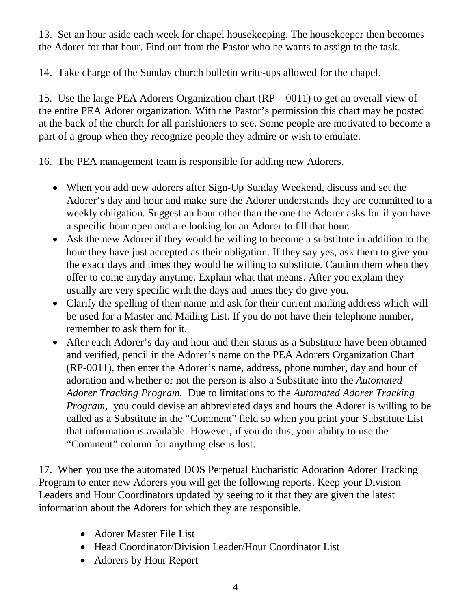13. Set an hour aside each week for chapel housekeeping. The housekeeper then becomes the Adorer for that hour. Find out from the Pastor who he wants to assign to the task.

14. Take charge of the Sunday church bulletin write-ups allowed for the chapel.

15. Use the large PEA Adorers Organization chart (RP – 0011) to get an overall view of the entire PEA Adorer organization. With the Pastor's permission this chart may be posted at the back of the church for all parishioners to see. Some people are motivated to become a part of a group when they recognize people they admire or wish to emulate.

16. The PEA management team is responsible for adding new Adorers.

- When you add new adorers after Sign-Up Sunday Weekend, discuss and set the Adorer's day and hour and make sure the Adorer understands they are committed to a weekly obligation. Suggest an hour other than the one the Adorer asks for if you have a specific hour open and are looking for an Adorer to fill that hour.
- Ask the new Adorer if they would be willing to become a substitute in addition to the hour they have just accepted as their obligation. If they say yes, ask them to give you the exact days and times they would be willing to substitute. Caution them when they offer to come anyday anytime. Explain what that means. After you explain they usually are very specific with the days and times they do give you.
- Clarify the spelling of their name and ask for their current mailing address which will be used for a Master and Mailing List. If you do not have their telephone number, remember to ask them for it.
- After each Adorer's day and hour and their status as a Substitute have been obtained and verified, pencil in the Adorer's name on the PEA Adorers Organization Chart (RP-0011), then enter the Adorer's name, address, phone number, day and hour of adoration and whether or not the person is also a Substitute into the *Automated Adorer Tracking Program.* Due to limitations to the *Automated Adorer Tracking Program*, you could devise an abbreviated days and hours the Adorer is willing to be called as a Substitute in the "Comment" field so when you print your Substitute List that information is available. However, if you do this, your ability to use the "Comment" column for anything else is lost.

17. When you use the automated DOS Perpetual Eucharistic Adoration Adorer Tracking Program to enter new Adorers you will get the following reports. Keep your Division Leaders and Hour Coordinators updated by seeing to it that they are given the latest information about the Adorers for which they are responsible.

- Adorer Master File List
- Head Coordinator/Division Leader/Hour Coordinator List
- Adorers by Hour Report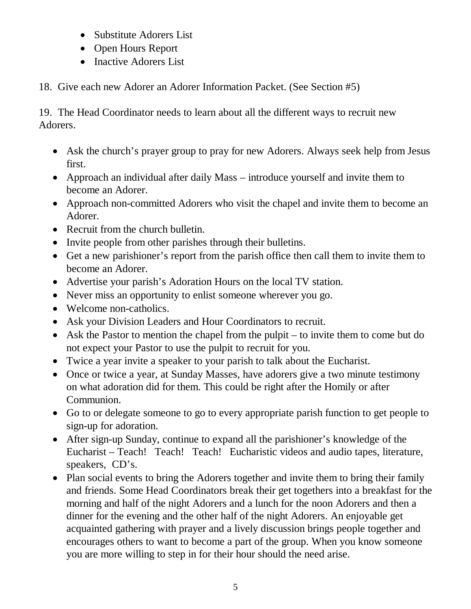- Substitute Adorers List
- Open Hours Report
- Inactive Adorers List
- 18. Give each new Adorer an Adorer Information Packet. (See Section #5)

19. The Head Coordinator needs to learn about all the different ways to recruit new Adorers.

- Ask the church's prayer group to pray for new Adorers. Always seek help from Jesus first.
- Approach an individual after daily Mass introduce yourself and invite them to become an Adorer.
- Approach non-committed Adorers who visit the chapel and invite them to become an Adorer.
- Recruit from the church bulletin.
- Invite people from other parishes through their bulletins.
- Get a new parishioner's report from the parish office then call them to invite them to become an Adorer.
- Advertise your parish's Adoration Hours on the local TV station.
- Never miss an opportunity to enlist someone wherever you go.
- Welcome non-catholics.
- Ask your Division Leaders and Hour Coordinators to recruit.
- Ask the Pastor to mention the chapel from the pulpit to invite them to come but do not expect your Pastor to use the pulpit to recruit for you.
- Twice a year invite a speaker to your parish to talk about the Eucharist.
- Once or twice a year, at Sunday Masses, have adorers give a two minute testimony on what adoration did for them. This could be right after the Homily or after Communion.
- Go to or delegate someone to go to every appropriate parish function to get people to sign-up for adoration.
- After sign-up Sunday, continue to expand all the parishioner's knowledge of the Eucharist – Teach! Teach! Teach! Eucharistic videos and audio tapes, literature, speakers, CD's.
- Plan social events to bring the Adorers together and invite them to bring their family and friends. Some Head Coordinators break their get togethers into a breakfast for the morning and half of the night Adorers and a lunch for the noon Adorers and then a dinner for the evening and the other half of the night Adorers. An enjoyable get acquainted gathering with prayer and a lively discussion brings people together and encourages others to want to become a part of the group. When you know someone you are more willing to step in for their hour should the need arise.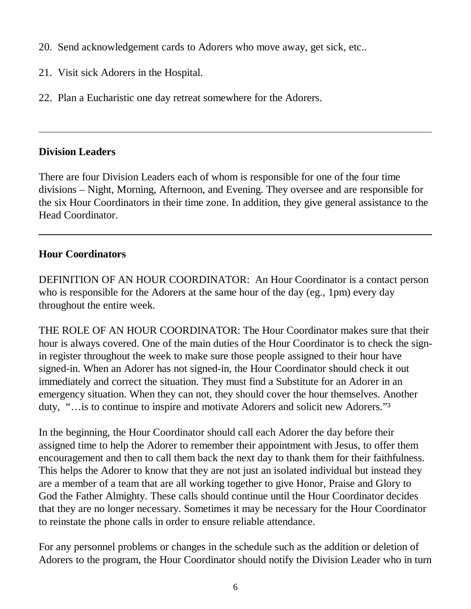- 20. Send acknowledgement cards to Adorers who move away, get sick, etc..
- 21. Visit sick Adorers in the Hospital.
- 22. Plan a Eucharistic one day retreat somewhere for the Adorers.

#### **Division Leaders**

There are four Division Leaders each of whom is responsible for one of the four time divisions – Night, Morning, Afternoon, and Evening. They oversee and are responsible for the six Hour Coordinators in their time zone. In addition, they give general assistance to the Head Coordinator.

#### **Hour Coordinators**

DEFINITION OF AN HOUR COORDINATOR: An Hour Coordinator is a contact person who is responsible for the Adorers at the same hour of the day (eg., 1pm) every day throughout the entire week.

THE ROLE OF AN HOUR COORDINATOR: The Hour Coordinator makes sure that their hour is always covered. One of the main duties of the Hour Coordinator is to check the signin register throughout the week to make sure those people assigned to their hour have signed-in. When an Adorer has not signed-in, the Hour Coordinator should check it out immediately and correct the situation. They must find a Substitute for an Adorer in an emergency situation. When they can not, they should cover the hour themselves. Another duty, "... is to continue to inspire and motivate Adorers and solicit new Adorers."<sup>3</sup>

In the beginning, the Hour Coordinator should call each Adorer the day before their assigned time to help the Adorer to remember their appointment with Jesus, to offer them encouragement and then to call them back the next day to thank them for their faithfulness. This helps the Adorer to know that they are not just an isolated individual but instead they are a member of a team that are all working together to give Honor, Praise and Glory to God the Father Almighty. These calls should continue until the Hour Coordinator decides that they are no longer necessary. Sometimes it may be necessary for the Hour Coordinator to reinstate the phone calls in order to ensure reliable attendance.

For any personnel problems or changes in the schedule such as the addition or deletion of Adorers to the program, the Hour Coordinator should notify the Division Leader who in turn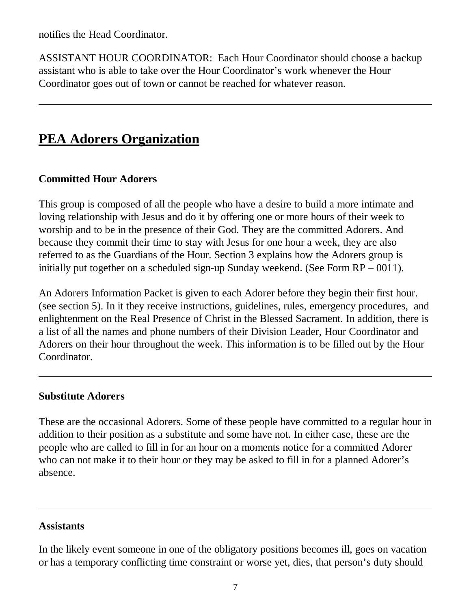notifies the Head Coordinator.

ASSISTANT HOUR COORDINATOR: Each Hour Coordinator should choose a backup assistant who is able to take over the Hour Coordinator's work whenever the Hour Coordinator goes out of town or cannot be reached for whatever reason.

### **PEA Adorers Organization**

#### **Committed Hour Adorers**

This group is composed of all the people who have a desire to build a more intimate and loving relationship with Jesus and do it by offering one or more hours of their week to worship and to be in the presence of their God. They are the committed Adorers. And because they commit their time to stay with Jesus for one hour a week, they are also referred to as the Guardians of the Hour. Section 3 explains how the Adorers group is initially put together on a scheduled sign-up Sunday weekend. (See Form RP – 0011).

An Adorers Information Packet is given to each Adorer before they begin their first hour. (see section 5). In it they receive instructions, guidelines, rules, emergency procedures, and enlightenment on the Real Presence of Christ in the Blessed Sacrament. In addition, there is a list of all the names and phone numbers of their Division Leader, Hour Coordinator and Adorers on their hour throughout the week. This information is to be filled out by the Hour Coordinator.

#### **Substitute Adorers**

These are the occasional Adorers. Some of these people have committed to a regular hour in addition to their position as a substitute and some have not. In either case, these are the people who are called to fill in for an hour on a moments notice for a committed Adorer who can not make it to their hour or they may be asked to fill in for a planned Adorer's absence.

#### **Assistants**

In the likely event someone in one of the obligatory positions becomes ill, goes on vacation or has a temporary conflicting time constraint or worse yet, dies, that person's duty should